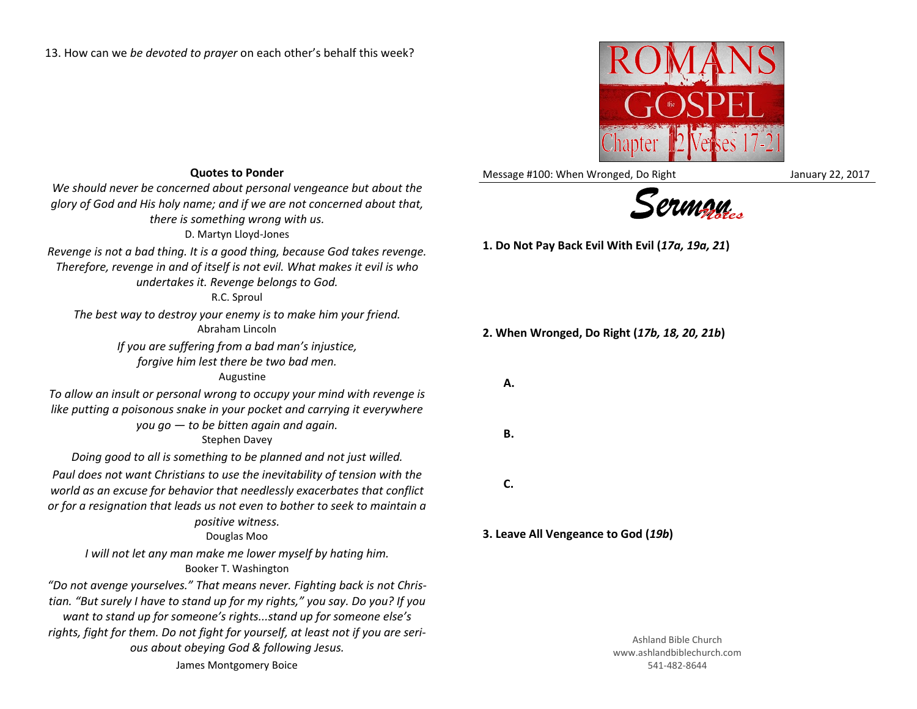13. How can we *be devoted to prayer* on each other's behalf this week?



Message #100: When Wronged, Do Right Message #100: When Wronged, Do Right



**1. Do Not Pay Back Evil With Evil (***17a, 19a, 21***)**

**2. When Wronged, Do Right (***17b, 18, 20, 21b***)**

**A.**

**B.**

**C.**

- 
- 

**3. Leave All Vengeance to God (***19b***)**

Ashland Bible Church www.ashlandbiblechurch.com 541-482-8644

## **Quotes to Ponder**

*We should never be concerned about personal vengeance but about the glory of God and His holy name; and if we are not concerned about that, there is something wrong with us.* D. Martyn Lloyd-Jones *Revenge is not a bad thing. It is a good thing, because God takes revenge. Therefore, revenge in and of itself is not evil. What makes it evil is who* 

*undertakes it. Revenge belongs to God.*

R.C. Sproul

*The best way to destroy your enemy is to make him your friend.* Abraham Lincoln

> *If you are suffering from a bad man's injustice, forgive him lest there be two bad men.*

## Augustine

*To allow an insult or personal wrong to occupy your mind with revenge is like putting a poisonous snake in your pocket and carrying it everywhere you go — to be bitten again and again.*

Stephen Davey

*Doing good to all is something to be planned and not just willed.*

*Paul does not want Christians to use the inevitability of tension with the world as an excuse for behavior that needlessly exacerbates that conflict or for a resignation that leads us not even to bother to seek to maintain a positive witness.*

Douglas Moo

*I will not let any man make me lower myself by hating him.* Booker T. Washington

*"Do not avenge yourselves." That means never. Fighting back is not Christian. "But surely I have to stand up for my rights," you say. Do you? If you want to stand up for someone's rights...stand up for someone else's rights, fight for them. Do not fight for yourself, at least not if you are serious about obeying God & following Jesus.* James Montgomery Boice